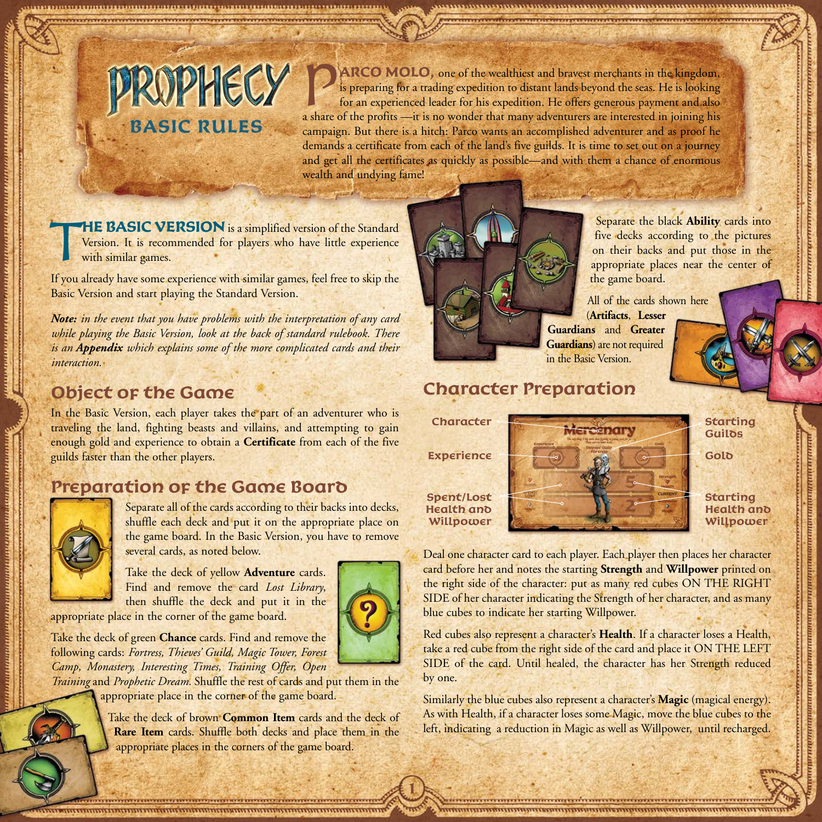P**ARCO MOLO,** one of the wealthiest and bravest merchants in the kingdom, is preparing for a trading expedition to distant lands beyond the seas. He is looking for an experienced leader for his expedition. He offers generous payment and also a share of the profits —it is no wonder that many adventurers are interested in joining his campaign. But there is a hitch: Parco wants an accomplished adventurer and as proof he demands a certificate from each of the land's five guilds. It is time to set out on a journey and get all the certificates as quickly as possible—and with them a chance of enormous wealth and undying fame!

**THE BASIC VERSION** is a simplified version of the Standard Version. It is recommended for players who have little experience with similar games.

If you already have some experience with similar games, feel free to skip the Basic Version and start playing the Standard Version.

**PROPHECY** 

**BASIC RULES** 

*Note: in the event that you have problems with the interpretation of any card while playing the Basic Version, look at the back of standard rulebook. There is an Appendix which explains some of the more complicated cards and their interaction.*

# **Object of the Game**

In the Basic Version, each player takes the part of an adventurer who is traveling the land, fighting beasts and villains, and attempting to gain enough gold and experience to obtain a **Certificate** from each of the five guilds faster than the other players.

# **Preparation of the Game Board**



Separate all of the cards according to their backs into decks, shuffle each deck and put it on the appropriate place on the game board. In the Basic Version, you have to remove several cards, as noted below.

Take the deck of yellow **Adventure** cards. Find and remove the card *Lost Library*, then shuffle the deck and put it in the

appropriate place in the corner of the game board.

Take the deck of green **Chance** cards. Find and remove the following cards: *Fortress, Thieves' Guild, Magic Tower, Forest Camp, Monastery, Interesting Times, Training Offer, Open* 

*Training* and *Prophetic Dream.* Shuffle the rest of cards and put them in the appropriate place in the corner of the game board.

> Take the deck of brown **Common Item** cards and the deck of **Rare Item** cards. Shuffle both decks and place them in the appropriate places in the corners of the game board.



Separate the black **Ability** cards into five decks according to the pictures on their backs and put those in the appropriate places near the center of the game board.

All of the cards shown here (**Artifacts**, **Lesser Guardians** and **Greater Guardians**) are not required in the Basic Version.

# **Character Preparation**

**Character**

**Spent/Lost Health and Willpower**



**Starting Guilos** 

**Starting Health and Willpower**

Deal one character card to each player. Each player then places her character card before her and notes the starting **Strength** and **Willpower** printed on the right side of the character: put as many red cubes ON THE RIGHT SIDE of her character indicating the Strength of her character, and as many blue cubes to indicate her starting Willpower.

Red cubes also represent a character's **Health**. If a character loses a Health, take a red cube from the right side of the card and place it ON THE LEFT SIDE of the card. Until healed, the character has her Strength reduced by one.

Similarly the blue cubes also represent a character's **Magic** (magical energy). As with Health, if a character loses some Magic, move the blue cubes to the left, indicating a reduction in Magic as well as Willpower, until recharged.



**1**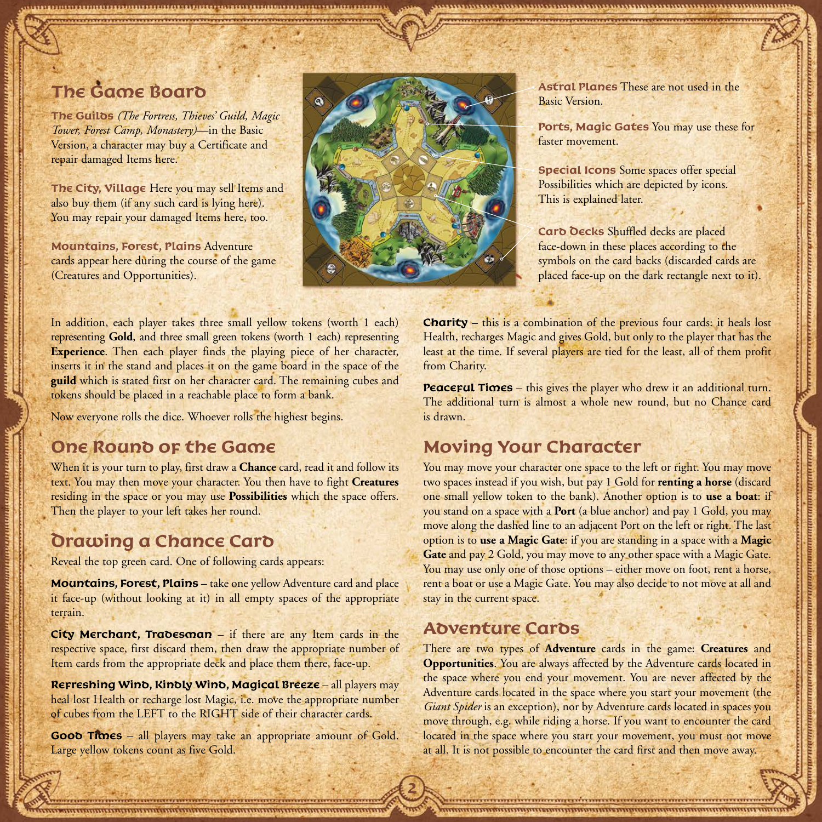# **The Game Board**

**The Guilds** *(The Fortress, Thieves' Guild, Magic Tower, Forest Camp, Monastery)*—in the Basic Version, a character may buy a Certificate and repair damaged Items here.

**The City, Village** Here you may sell Items and also buy them (if any such card is lying here). You may repair your damaged Items here, too.

**Mountains, Forest, Plains** Adventure cards appear here during the course of the game (Creatures and Opportunities).



**Astral Planes** These are not used in the Basic Version.

**Ports, Magic Gates** You may use these for faster movement.

**Special Icons** Some spaces offer special Possibilities which are depicted by icons. This is explained later.

**Card Decks** Shuffled decks are placed face-down in these places according to the symbols on the card backs (discarded cards are placed face-up on the dark rectangle next to it).

In addition, each player takes three small yellow tokens (worth 1 each) representing **Gold**, and three small green tokens (worth 1 each) representing **Experience**. Then each player finds the playing piece of her character, inserts it in the stand and places it on the game board in the space of the **guild** which is stated first on her character card. The remaining cubes and tokens should be placed in a reachable place to form a bank.

Now everyone rolls the dice. Whoever rolls the highest begins.

# **One Round of the Game**

When it is your turn to play, first draw a **Chance** card, read it and follow its text. You may then move your character. You then have to fight **Creatures** residing in the space or you may use **Possibilities** which the space offers. Then the player to your left takes her round.

# **Drawing a Chance Card**

Reveal the top green card. One of following cards appears:

**Mountains, Forest, Plains** – take one yellow Adventure card and place it face-up (without looking at it) in all empty spaces of the appropriate terrain.

**City Merchant, Tradesman** – if there are any Item cards in the respective space, first discard them, then draw the appropriate number of Item cards from the appropriate deck and place them there, face-up.

**Refreshing Wind, Kindly Wind, Magical Breeze** – all players may heal lost Health or recharge lost Magic, i.e. move the appropriate number of cubes from the LEFT to the RIGHT side of their character cards.

**Good Times** – all players may take an appropriate amount of Gold. Large yellow tokens count as five Gold.

**Charity** – this is a combination of the previous four cards: it heals lost Health, recharges Magic and gives Gold, but only to the player that has the least at the time. If several players are tied for the least, all of them profit from Charity.

**Peaceful Times** – this gives the player who drew it an additional turn. The additional turn is almost a whole new round, but no Chance card is drawn.

# **Moving Your Character**

You may move your character one space to the left or right. You may move two spaces instead if you wish, but pay 1 Gold for **renting a horse** (discard one small yellow token to the bank). Another option is to **use a boat**: if you stand on a space with a **Port** (a blue anchor) and pay 1 Gold, you may move along the dashed line to an adjacent Port on the left or right. The last option is to **use a Magic Gate**: if you are standing in a space with a **Magic Gate** and pay 2 Gold, you may move to any other space with a Magic Gate. You may use only one of those options – either move on foot, rent a horse, rent a boat or use a Magic Gate. You may also decide to not move at all and stay in the current space.

### **Adventure Cards**

**2**

There are two types of **Adventure** cards in the game: **Creatures** and **Opportunities**. You are always affected by the Adventure cards located in the space where you end your movement. You are never affected by the Adventure cards located in the space where you start your movement (the *Giant Spider* is an exception), nor by Adventure cards located in spaces you move through, e.g. while riding a horse. If you want to encounter the card located in the space where you start your movement, you must not move at all. It is not possible to encounter the card first and then move away.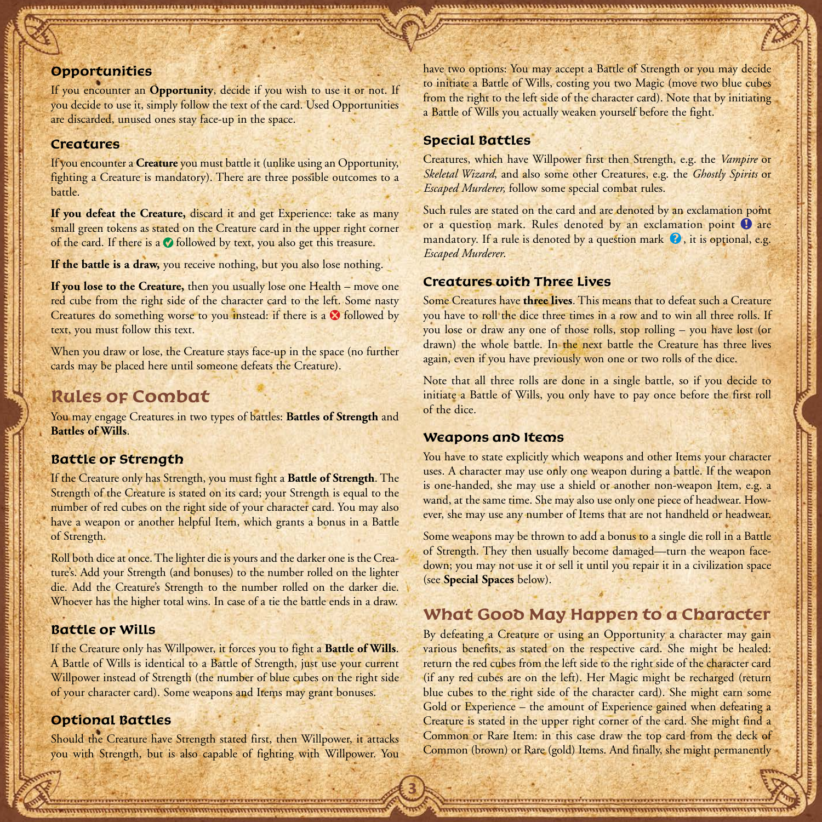#### **Opportunities**

If you encounter an **Opportunity**, decide if you wish to use it or not. If you decide to use it, simply follow the text of the card. Used Opportunities are discarded, unused ones stay face-up in the space.

#### **Creatures**

If you encounter a **Creature** you must battle it (unlike using an Opportunity, fighting a Creature is mandatory). There are three possible outcomes to a battle.

**If you defeat the Creature,** discard it and get Experience: take as many small green tokens as stated on the Creature card in the upper right corner of the card. If there is a  $\bullet$  followed by text, you also get this treasure.

If the battle is a draw, you receive nothing, but you also lose nothing.

**If you lose to the Creature,** then you usually lose one Health – move one red cube from the right side of the character card to the left. Some nasty Creatures do something worse to you instead: if there is a **@** followed by text, you must follow this text.

When you draw or lose, the Creature stays face-up in the space (no further cards may be placed here until someone defeats the Creature).

### **Rules of Combat**

You may engage Creatures in two types of battles: **Battles of Strength** and **Battles of Wills**.

#### **Battle of Strength**

If the Creature only has Strength, you must fight a **Battle of Strength**. The Strength of the Creature is stated on its card; your Strength is equal to the number of red cubes on the right side of your character card. You may also have a weapon or another helpful Item, which grants a bonus in a Battle of Strength.

Roll both dice at once. The lighter die is yours and the darker one is the Creature's. Add your Strength (and bonuses) to the number rolled on the lighter die. Add the Creature's Strength to the number rolled on the darker die. Whoever has the higher total wins. In case of a tie the battle ends in a draw.

#### **Battle of Wills**

If the Creature only has Willpower, it forces you to fight a **Battle of Wills**. A Battle of Wills is identical to a Battle of Strength, just use your current Willpower instead of Strength (the number of blue cubes on the right side of your character card). Some weapons and Items may grant bonuses.

### **Optional Battles**

Should the Creature have Strength stated first, then Willpower, it attacks you with Strength, but is also capable of fighting with Willpower. You have two options: You may accept a Battle of Strength or you may decide to initiate a Battle of Wills, costing you two Magic (move two blue cubes from the right to the left side of the character card). Note that by initiating a Battle of Wills you actually weaken yourself before the fight.

#### **Special Battles**

Creatures, which have Willpower first then Strength, e.g. the *Vampire* or *Skeletal Wizard*, and also some other Creatures, e.g. the *Ghostly Spirits* or *Escaped Murderer,* follow some special combat rules.

Such rules are stated on the card and are denoted by an exclamation point or a question mark. Rules denoted by an exclamation point  $\bullet$  are mandatory. If a rule is denoted by a question mark  $\bullet$ , it is optional, e.g. *Escaped Murderer*.

#### **Creatures with Three Lives**

Some Creatures have **three lives**. This means that to defeat such a Creature you have to roll the dice three times in a row and to win all three rolls. If you lose or draw any one of those rolls, stop rolling – you have lost (or drawn) the whole battle. In the next battle the Creature has three lives again, even if you have previously won one or two rolls of the dice.

Note that all three rolls are done in a single battle, so if you decide to initiate a Battle of Wills, you only have to pay once before the first roll of the dice.

#### **Weapons and Items**

**3**

You have to state explicitly which weapons and other Items your character uses. A character may use only one weapon during a battle. If the weapon is one-handed, she may use a shield or another non-weapon Item, e.g. a wand, at the same time. She may also use only one piece of headwear. However, she may use any number of Items that are not handheld or headwear.

Some weapons may be thrown to add a bonus to a single die roll in a Battle of Strength. They then usually become damaged—turn the weapon facedown; you may not use it or sell it until you repair it in a civilization space (see **Special Spaces** below).

### **What Good May Happen to a Character**

By defeating a Creature or using an Opportunity a character may gain various benefits, as stated on the respective card. She might be healed: return the red cubes from the left side to the right side of the character card (if any red cubes are on the left). Her Magic might be recharged (return blue cubes to the right side of the character card). She might earn some Gold or Experience – the amount of Experience gained when defeating a Creature is stated in the upper right corner of the card. She might find a Common or Rare Item: in this case draw the top card from the deck of Common (brown) or Rare (gold) Items. And finally, she might permanently